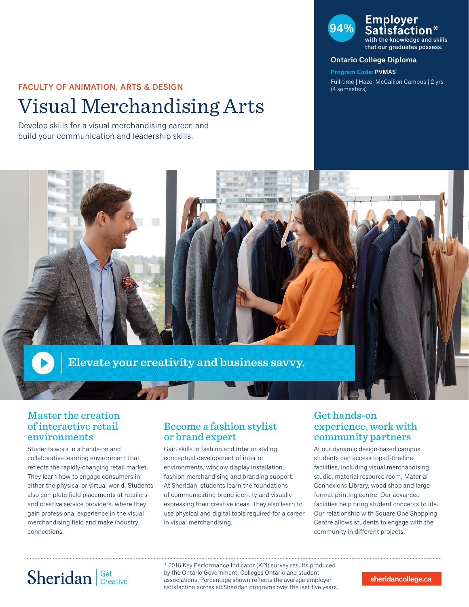## FACULTY OF ANIMATION, ARTS & DESIGN

# Visual Merchandising Arts

Develop skills for a visual merchandising career, and build your communication and leadership skills.

### **94% Employer Satisfaction\***

with the knowledge and skills that our graduates possess.

#### **Ontario College Diploma**

**Program Code: PVMAS** Full-time | Hazel McCallion Campus | 2 yrs (4 semesters)



### Master the creation of interactive retail environments

Students work in a hands-on and collaborative learning environment that reflects the rapidly-changing retail market. They learn how to engage consumers in either the physical or virtual world. Students also complete field placements at retailers and creative service providers, where they gain professional experience in the visual merchandising field and make industry connections.

### Become a fashion stylist or brand expert

Gain skills in fashion and interior styling, conceptual development of interior environments, window display installation, fashion merchandising and branding support. At Sheridan, students learn the foundations of communicating brand identity and visually expressing their creative ideas. They also learn to use physical and digital tools required for a career in visual merchandising.

### Get hands-on experience, work with community partners

At our dynamic design-based campus, students can access top-of-the-line facilities, including visual merchandising studio, material resource room, Material Connexions Library, wood shop and largeformat printing centre. Our advanced facilities help bring student concepts to life. Our relationship with Square One Shopping Centre allows students to engage with the community in different projects.

# Sheridan | Get Creative

\* 2018 Key Performance Indicator (KPI) survey results produced by the Ontario Government, Colleges Ontario and student associations. Percentage shown reflects the average employer satisfaction across all Sheridan programs over the last five years.